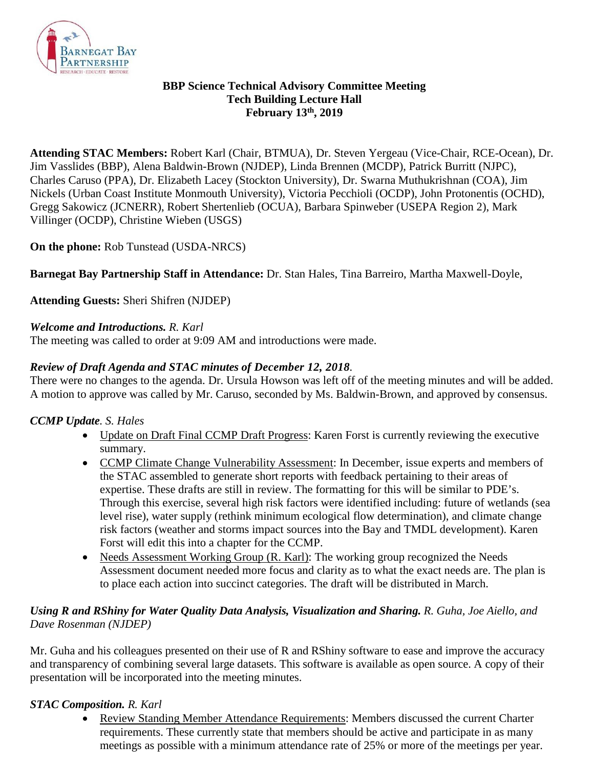

#### **BBP Science Technical Advisory Committee Meeting Tech Building Lecture Hall February 13th, 2019**

**Attending STAC Members:** Robert Karl (Chair, BTMUA), Dr. Steven Yergeau (Vice-Chair, RCE-Ocean), Dr. Jim Vasslides (BBP), Alena Baldwin-Brown (NJDEP), Linda Brennen (MCDP), Patrick Burritt (NJPC), Charles Caruso (PPA), Dr. Elizabeth Lacey (Stockton University), Dr. Swarna Muthukrishnan (COA), Jim Nickels (Urban Coast Institute Monmouth University), Victoria Pecchioli (OCDP), John Protonentis (OCHD), Gregg Sakowicz (JCNERR), Robert Shertenlieb (OCUA), Barbara Spinweber (USEPA Region 2), Mark Villinger (OCDP), Christine Wieben (USGS)

# **On the phone:** Rob Tunstead (USDA-NRCS)

**Barnegat Bay Partnership Staff in Attendance:** Dr. Stan Hales, Tina Barreiro, Martha Maxwell-Doyle,

**Attending Guests:** Sheri Shifren (NJDEP)

### *Welcome and Introductions. R. Karl*

The meeting was called to order at 9:09 AM and introductions were made.

# *Review of Draft Agenda and STAC minutes of December 12, 2018.*

There were no changes to the agenda. Dr. Ursula Howson was left off of the meeting minutes and will be added. A motion to approve was called by Mr. Caruso, seconded by Ms. Baldwin-Brown, and approved by consensus.

### *CCMP Update. S. Hales*

- Update on Draft Final CCMP Draft Progress: Karen Forst is currently reviewing the executive summary.
- CCMP Climate Change Vulnerability Assessment: In December, issue experts and members of the STAC assembled to generate short reports with feedback pertaining to their areas of expertise. These drafts are still in review. The formatting for this will be similar to PDE's. Through this exercise, several high risk factors were identified including: future of wetlands (sea level rise), water supply (rethink minimum ecological flow determination), and climate change risk factors (weather and storms impact sources into the Bay and TMDL development). Karen Forst will edit this into a chapter for the CCMP.
- Needs Assessment Working Group (R. Karl): The working group recognized the Needs Assessment document needed more focus and clarity as to what the exact needs are. The plan is to place each action into succinct categories. The draft will be distributed in March.

# *Using R and RShiny for Water Quality Data Analysis, Visualization and Sharing. R. Guha, Joe Aiello, and Dave Rosenman (NJDEP)*

Mr. Guha and his colleagues presented on their use of R and RShiny software to ease and improve the accuracy and transparency of combining several large datasets. This software is available as open source. A copy of their presentation will be incorporated into the meeting minutes.

### *STAC Composition. R. Karl*

• Review Standing Member Attendance Requirements: Members discussed the current Charter requirements. These currently state that members should be active and participate in as many meetings as possible with a minimum attendance rate of 25% or more of the meetings per year.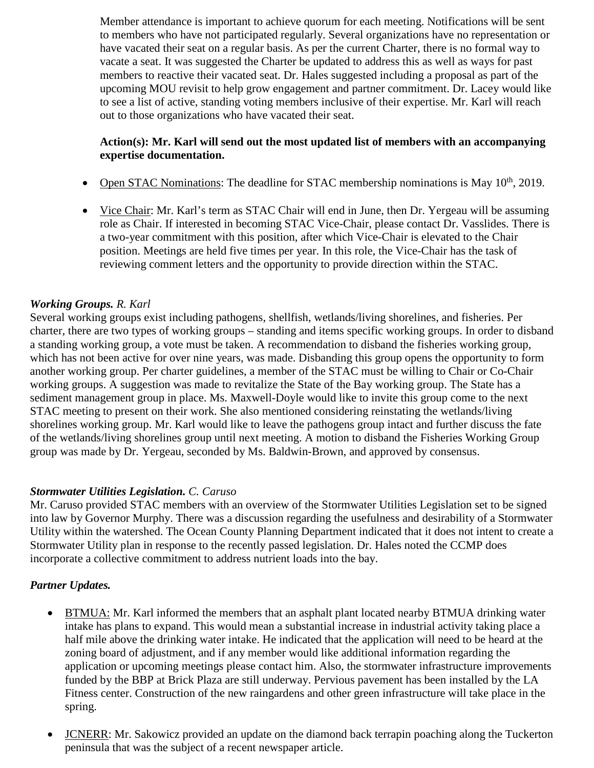Member attendance is important to achieve quorum for each meeting. Notifications will be sent to members who have not participated regularly. Several organizations have no representation or have vacated their seat on a regular basis. As per the current Charter, there is no formal way to vacate a seat. It was suggested the Charter be updated to address this as well as ways for past members to reactive their vacated seat. Dr. Hales suggested including a proposal as part of the upcoming MOU revisit to help grow engagement and partner commitment. Dr. Lacey would like to see a list of active, standing voting members inclusive of their expertise. Mr. Karl will reach out to those organizations who have vacated their seat.

## **Action(s): Mr. Karl will send out the most updated list of members with an accompanying expertise documentation.**

- Open STAC Nominations: The deadline for STAC membership nominations is May  $10^{th}$ , 2019.
- Vice Chair: Mr. Karl's term as STAC Chair will end in June, then Dr. Yergeau will be assuming role as Chair. If interested in becoming STAC Vice-Chair, please contact Dr. Vasslides. There is a two-year commitment with this position, after which Vice-Chair is elevated to the Chair position. Meetings are held five times per year. In this role, the Vice-Chair has the task of reviewing comment letters and the opportunity to provide direction within the STAC.

#### *Working Groups. R. Karl*

Several working groups exist including pathogens, shellfish, wetlands/living shorelines, and fisheries. Per charter, there are two types of working groups – standing and items specific working groups. In order to disband a standing working group, a vote must be taken. A recommendation to disband the fisheries working group, which has not been active for over nine years, was made. Disbanding this group opens the opportunity to form another working group. Per charter guidelines, a member of the STAC must be willing to Chair or Co-Chair working groups. A suggestion was made to revitalize the State of the Bay working group. The State has a sediment management group in place. Ms. Maxwell-Doyle would like to invite this group come to the next STAC meeting to present on their work. She also mentioned considering reinstating the wetlands/living shorelines working group. Mr. Karl would like to leave the pathogens group intact and further discuss the fate of the wetlands/living shorelines group until next meeting. A motion to disband the Fisheries Working Group group was made by Dr. Yergeau, seconded by Ms. Baldwin-Brown, and approved by consensus.

#### *Stormwater Utilities Legislation. C. Caruso*

Mr. Caruso provided STAC members with an overview of the Stormwater Utilities Legislation set to be signed into law by Governor Murphy. There was a discussion regarding the usefulness and desirability of a Stormwater Utility within the watershed. The Ocean County Planning Department indicated that it does not intent to create a Stormwater Utility plan in response to the recently passed legislation. Dr. Hales noted the CCMP does incorporate a collective commitment to address nutrient loads into the bay.

#### *Partner Updates.*

- BTMUA: Mr. Karl informed the members that an asphalt plant located nearby BTMUA drinking water intake has plans to expand. This would mean a substantial increase in industrial activity taking place a half mile above the drinking water intake. He indicated that the application will need to be heard at the zoning board of adjustment, and if any member would like additional information regarding the application or upcoming meetings please contact him. Also, the stormwater infrastructure improvements funded by the BBP at Brick Plaza are still underway. Pervious pavement has been installed by the LA Fitness center. Construction of the new raingardens and other green infrastructure will take place in the spring.
- JCNERR: Mr. Sakowicz provided an update on the diamond back terrapin poaching along the Tuckerton peninsula that was the subject of a recent newspaper article.